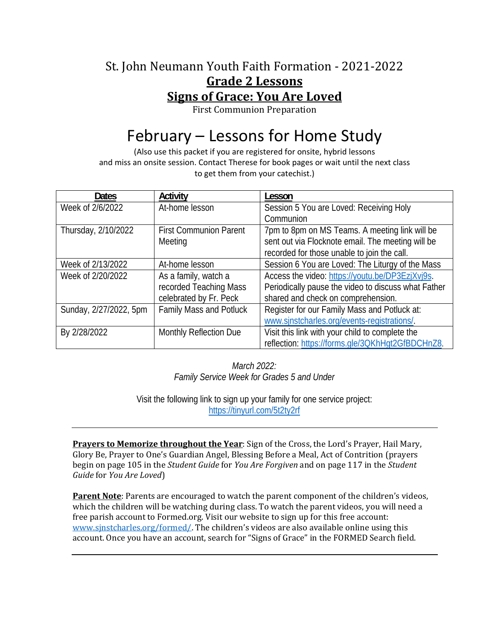### St. John Neumann Youth Faith Formation - 2021-2022 **Grade 2 Lessons Signs of Grace: You Are Loved**

First Communion Preparation

# February – Lessons for Home Study

(Also use this packet if you are registered for onsite, hybrid lessons and miss an onsite session. Contact Therese for book pages or wait until the next class to get them from your catechist.)

| <b>Dates</b>           | Activity                       | Lesson                                              |
|------------------------|--------------------------------|-----------------------------------------------------|
| Week of 2/6/2022       | At-home lesson                 | Session 5 You are Loved: Receiving Holy             |
|                        |                                | Communion                                           |
| Thursday, 2/10/2022    | <b>First Communion Parent</b>  | 7pm to 8pm on MS Teams. A meeting link will be      |
|                        | Meeting                        | sent out via Flocknote email. The meeting will be   |
|                        |                                | recorded for those unable to join the call.         |
| Week of 2/13/2022      | At-home lesson                 | Session 6 You are Loved: The Liturgy of the Mass    |
| Week of 2/20/2022      | As a family, watch a           | Access the video: https://youtu.be/DP3EzjXvj9s.     |
|                        | recorded Teaching Mass         | Periodically pause the video to discuss what Father |
|                        | celebrated by Fr. Peck         | shared and check on comprehension.                  |
| Sunday, 2/27/2022, 5pm | <b>Family Mass and Potluck</b> | Register for our Family Mass and Potluck at:        |
|                        |                                | www.sinstcharles.org/events-registrations/.         |
| By 2/28/2022           | Monthly Reflection Due         | Visit this link with your child to complete the     |
|                        |                                | reflection: https://forms.gle/3QKhHgt2GfBDCHnZ8.    |

*March 2022: Family Service Week for Grades 5 and Under* 

Visit the following link to sign up your family for one service project: https://tinyurl.com/5t2ty2rf

**Prayers to Memorize throughout the Year**: Sign of the Cross, the Lord's Prayer, Hail Mary, Glory Be, Prayer to One's Guardian Angel, Blessing Before a Meal, Act of Contrition (prayers begin on page 105 in the *Student Guide* for *You Are Forgiven* and on page 117 in the *Student Guide* for *You Are Loved*)

**Parent Note**: Parents are encouraged to watch the parent component of the children's videos, which the children will be watching during class. To watch the parent videos, you will need a free parish account to Formed.org. Visit our website to sign up for this free account: www.sjnstcharles.org/formed/. The children's videos are also available online using this account. Once you have an account, search for "Signs of Grace" in the FORMED Search field.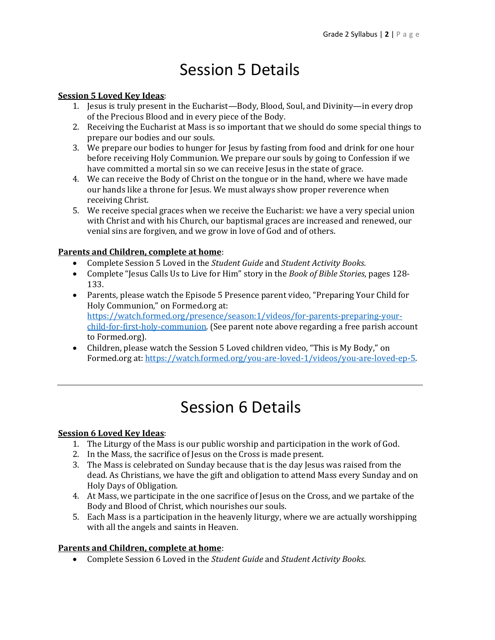## Session 5 Details

#### **Session 5 Loved Key Ideas**:

- 1. Jesus is truly present in the Eucharist—Body, Blood, Soul, and Divinity—in every drop of the Precious Blood and in every piece of the Body.
- 2. Receiving the Eucharist at Mass is so important that we should do some special things to prepare our bodies and our souls.
- 3. We prepare our bodies to hunger for Jesus by fasting from food and drink for one hour before receiving Holy Communion. We prepare our souls by going to Confession if we have committed a mortal sin so we can receive Jesus in the state of grace.
- 4. We can receive the Body of Christ on the tongue or in the hand, where we have made our hands like a throne for Jesus. We must always show proper reverence when receiving Christ.
- 5. We receive special graces when we receive the Eucharist: we have a very special union with Christ and with his Church, our baptismal graces are increased and renewed, our venial sins are forgiven, and we grow in love of God and of others.

#### **Parents and Children, complete at home**:

- Complete Session 5 Loved in the *Student Guide* and *Student Activity Books*.
- Complete "Jesus Calls Us to Live for Him" story in the *Book of Bible Stories*, pages 128- 133.
- Parents, please watch the Episode 5 Presence parent video, "Preparing Your Child for Holy Communion," on Formed.org at: https://watch.formed.org/presence/season:1/videos/for-parents-preparing-yourchild-for-first-holy-communion. (See parent note above regarding a free parish account to Formed.org).
- Children, please watch the Session 5 Loved children video, "This is My Body," on Formed.org at: https://watch.formed.org/you-are-loved-1/videos/you-are-loved-ep-5.

### Session 6 Details

#### **Session 6 Loved Key Ideas**:

- 1. The Liturgy of the Mass is our public worship and participation in the work of God.
- 2. In the Mass, the sacrifice of Jesus on the Cross is made present.
- 3. The Mass is celebrated on Sunday because that is the day Jesus was raised from the dead. As Christians, we have the gift and obligation to attend Mass every Sunday and on Holy Days of Obligation.
- 4. At Mass, we participate in the one sacrifice of Jesus on the Cross, and we partake of the Body and Blood of Christ, which nourishes our souls.
- 5. Each Mass is a participation in the heavenly liturgy, where we are actually worshipping with all the angels and saints in Heaven.

#### **Parents and Children, complete at home**:

Complete Session 6 Loved in the *Student Guide* and *Student Activity Books*.